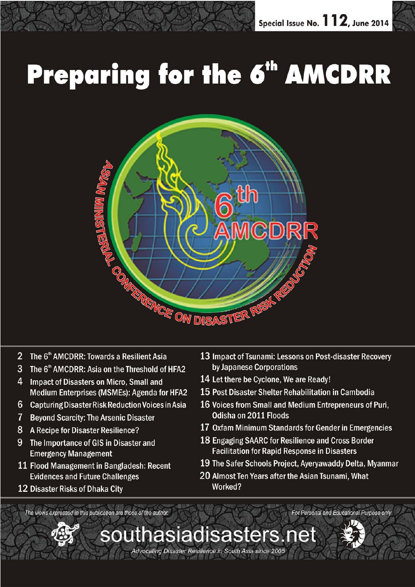# **Preparing for the 6<sup>th</sup> AMCDRR**



southasiadisasters.net

Advocating Disaster Resilience in South Asia since 2005

- 2 The 6<sup>th</sup> AMCDRR: Towards a Resilient Asia
- 3 The 6<sup>th</sup> AMCDRR: Asia on the Threshold of HFA2
- 4 Impact of Disasters on Micro, Small and Medium Enterprises (MSMEs): Agenda for HFA2
- 6 Capturing Disaster Risk Reduction Voices in Asia
- $7^{\circ}$ **Beyond Scarcity: The Arsenic Disaster**
- 8 A Recipe for Disaster Resilience?
- 9 The Importance of GIS in Disaster and **Emergency Management**
- 11 Flood Management in Bangladesh: Recent **Evidences and Future Challenges**
- 12 Disaster Risks of Dhaka City
- 13 Impact of Tsunami: Lessons on Post-disaster Recovery by Japanese Corporations
- 14 Let there be Cyclone, We are Ready!
- 15 Post Disaster Shelter Rehabilitation in Cambodia
- 16 Voices from Small and Medium Entrepreneurs of Puri, Odisha on 2011 Floods
- 17 Oxfam Minimum Standards for Gender in Emergencies
- 18 Engaging SAARC for Resilience and Cross Border **Facilitation for Rapid Response in Disasters**
- 19 The Safer Schools Project, Ayeryawaddy Delta, Myanmar
- 20 Almost Ten Years after the Asian Tsunami, What Worked?

The views expressed in this publication are those of the author.



For Personal and Educational Purpose only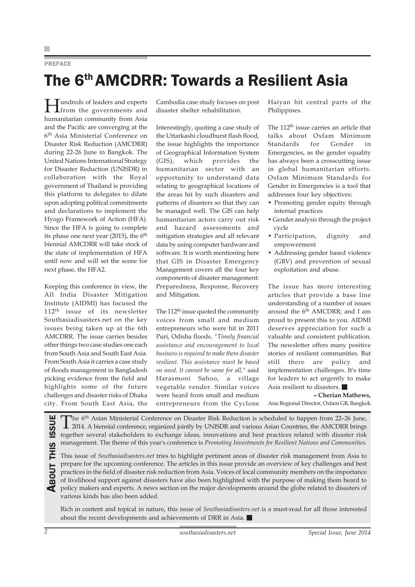#### PREFACE

## The 6th AMCDRR: Towards a Resilient Asia

Hundreds of leaders and experts from the governments and humanitarian community from Asia and the Pacific are converging at the 6th Asia Ministerial Conference on Disaster Risk Reduction (AMCDRR) during 22-26 June in Bangkok. The United Nations International Strategy for Disaster Reduction (UNISDR) in collaboration with the Royal government of Thailand is providing this platform to delegates to dilate upon adopting political commitments and declarations to implement the Hyogo Framework of Action (HFA). Since the HFA is going to complete its phase one next year  $(2015)$ , the 6<sup>th</sup> biennial AMCDRR will take stock of the state of implementation of HFA until now and will set the scene for next phase, the HFA2.

Keeping this conference in view, the All India Disaster Mitigation Institute (AIDMI) has focused the 112th issue of its newsletter Southasiadisasters.net on the key issues being taken up at the 6th AMCDRR. The issue carries besides other things two case studies one each from South Asia and South East Asia. From South Asia it carries a case study of floods management in Bangladesh picking evidence from the field and highlights some of the future challenges and disaster risks of Dhaka city. From South East Asia, the Cambodia case study focuses on post disaster shelter rehabilitation.

Interestingly, quoting a case study of the Uttarkashi cloudburst flash flood, the issue highlights the importance of Geographical Information System (GIS), which provides the humanitarian sector with an opportunity to understand data relating to geographical locations of the areas hit by such disasters and patterns of disasters so that they can be managed well. The GIS can help humanitarian actors carry out risk and hazard assessments and mitigation strategies and all relevant data by using computer hardware and software. It is worth mentioning here that GIS in Disaster Emergency Management covers all the four key components of disaster management: Preparedness, Response, Recovery and Mitigation.

The 112<sup>th</sup> issue quoted the community voices from small and medium entrepreneurs who were hit in 2011 Puri, Odisha floods. *"Timely financial assistance and encouragement to local business is required to make them disaster resilient. This assistance must be based on need. It cannot be same for all,"* said Harasmoni Sahoo, a village vegetable vender. Similar voices were heard from small and medium entrepreneurs from the Cyclone

Haiyan hit central parts of the Philippines.

The 112<sup>th</sup> issue carries an article that talks about Oxfam Minimum Standards for Gender in Emergencies, as the gender equality has always been a crosscutting issue in global humanitarian efforts. Oxfam Minimum Standards for Gender in Emergencies is a tool that addresses four key objectives:

- Promoting gender equity through internal practices
- Gender analysis through the project cycle
- Participation, dignity and empowerment
- Addressing gender based violence (GBV) and prevention of sexual exploitation and abuse.

The issue has more interesting articles that provide a base line understanding of a number of issues around the  $6<sup>th</sup>$  AMCDRR; and I am proud to present this to you. AIDMI deserves appreciation for such a valuable and consistent publication. The newsletter offers many positive stories of resilient communities. But still there are policy and implementation challenges. It's time for leaders to act urgently to make Asia resilient to disasters.

**– Cherian Mathews,** Asia Regional Director, Oxfam GB, Bangkok

2014. A biennial conference, organized jointly by UNISDR and various Asian Countries, the AMCDRR brings together several stakeholders to exchange ideas, innovations and best practices related with disaster risk management. The theme of this year's conference is *Promoting Investments for Resilient Nations and Communities*.

The 6<sup>th</sup> Asian Ministerial Conference on Disaster Risk Reduction is scheduled to happen from 22–26 June,<br>together several stakeholders to exchange ideas, innovations and best practices related with disaster risk<br>managemen This issue of *Southasiadisasters.net* tries to highlight pertinent areas of disaster risk management from Asia to prepare for the upcoming conference. The articles in this issue provide an overview of key challenges and best practices in the field of disaster risk reduction from Asia. Voices of local community members on the importance of livelihood support against disasters have also been highlighted with the purpose of making them heard to policy makers and experts. A news section on the major developments around the globe related to disasters of various kinds has also been added.

Rich in content and topical in nature, this issue of *Southasiadisasters.net* is a must-read for all those interested about the recent developments and achievements of DRR in Asia.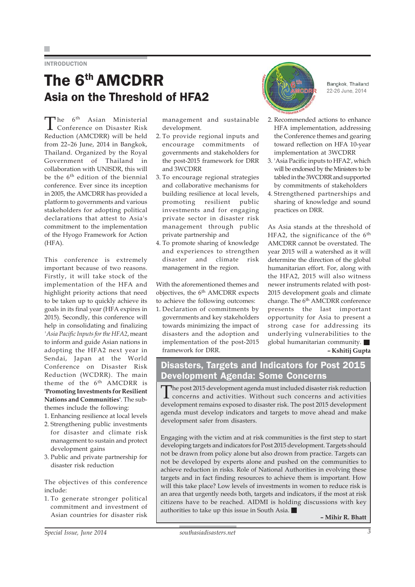#### **INTRODUCTION**

### The 6th AMCDRR Asia on the Threshold of HFA2

The 6<sup>th</sup> Asian Ministerial<br>Conference on Disaster Risk Reduction (AMCDRR) will be held from 22–26 June, 2014 in Bangkok, Thailand. Organized by the Royal Government of Thailand in collaboration with UNISDR, this will be the 6<sup>th</sup> edition of the biennial conference. Ever since its inception in 2005, the AMCDRR has provided a platform to governments and various stakeholders for adopting political declarations that attest to Asia's commitment to the implementation of the Hyogo Framework for Action (HFA).

This conference is extremely important because of two reasons. Firstly, it will take stock of the implementation of the HFA and highlight priority actions that need to be taken up to quickly achieve its goals in its final year (HFA expires in 2015). Secondly, this conference will help in consolidating and finalizing *'Asia Pacific Inputs for the HFA2*, meant to inform and guide Asian nations in adopting the HFA2 next year in Sendai, Japan at the World Conference on Disaster Risk Reduction (WCDRR). The main theme of the 6<sup>th</sup> AMCDRR is **'Promoting Investments for Resilient Nations and Communities'**. The subthemes include the following:

- 1. Enhancing resilience at local levels
- 2. Strengthening public investments for disaster and climate risk management to sustain and protect development gains
- 3. Public and private partnership for disaster risk reduction

The objectives of this conference include:

1. To generate stronger political commitment and investment of Asian countries for disaster risk management and sustainable development.

- 2. To provide regional inputs and encourage commitments of governments and stakeholders for the post-2015 framework for DRR and 3WCDRR
- 3. To encourage regional strategies and collaborative mechanisms for building resilience at local levels, promoting resilient public investments and for engaging private sector in disaster risk management through public private partnership and
- 4. To promote sharing of knowledge and experiences to strengthen disaster and climate risk management in the region.

With the aforementioned themes and objectives, the 6<sup>th</sup> AMCDRR expects to achieve the following outcomes:

1. Declaration of commitments by governments and key stakeholders towards minimizing the impact of disasters and the adoption and implementation of the post-2015 framework for DRR.



Bangkok, Thailand 22-26 June, 2014

- 2. Recommended actions to enhance HFA implementation, addressing the Conference themes and gearing toward reflection on HFA 10-year implementation at 3WCDRR
- 3. 'Asia Pacific inputs to HFA2', which will be endorsed by the Ministers to be tabled in the 3WCDRR and supported by commitments of stakeholders
- 4. Strengthened partnerships and sharing of knowledge and sound practices on DRR.

As Asia stands at the threshold of HFA2, the significance of the  $6<sup>th</sup>$ AMCDRR cannot be overstated. The year 2015 will a watershed as it will determine the direction of the global humanitarian effort. For, along with the HFA2, 2015 will also witness newer instruments related with post-2015 development goals and climate change. The 6<sup>th</sup> AMCDRR conference presents the last important opportunity for Asia to present a strong case for addressing its underlying vulnerabilities to the global humanitarian community. **– Kshitij Gupta**

### Disasters, Targets and Indicators for Post 2015 Development Agenda: Some Concerns

The post 2015 development agenda must included disaster risk reduction concerns and activities. Without such concerns and activities development remains exposed to disaster risk. The post 2015 development agenda must develop indicators and targets to move ahead and make development safer from disasters.

Engaging with the victim and at risk communities is the first step to start developing targets and indicators for Post 2015 development. Targets should not be drawn from policy alone but also drown from practice. Targets can not be developed by experts alone and pushed on the communities to achieve reduction in risks. Role of National Authorities in evolving these targets and in fact finding resources to achieve them is important. How will this take place? Low levels of investments in women to reduce risk is an area that urgently needs both, targets and indicators, if the most at risk citizens have to be reached. AIDMI is holding discussions with key authorities to take up this issue in South Asia.

**– Mihir R. Bhatt**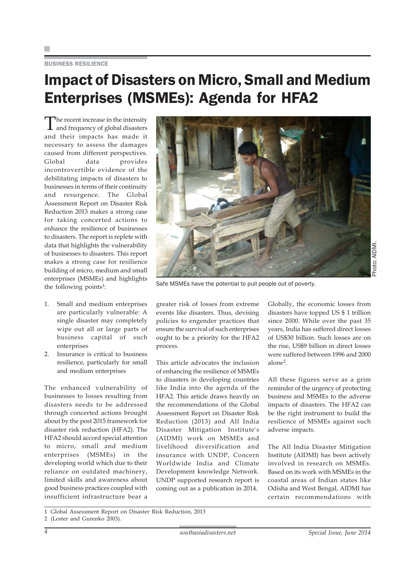#### BUSINESS RESILIENCE

### Impact of Disasters on Micro, Small and Medium Enterprises (MSMEs): Agenda for HFA2

The recent increase in the intensity and frequency of global disasters and their impacts has made it necessary to assess the damages caused from different perspectives. Global data provides incontrovertible evidence of the debilitating impacts of disasters to businesses in terms of their continuity and resurgence. The Global Assessment Report on Disaster Risk Reduction 2013 makes a strong case for taking concerted actions to enhance the resilience of businesses to disasters. The report is replete with data that highlights the vulnerability of businesses to disasters. This report makes a strong case for resilience building of micro, medium and small enterprises (MSMEs) and highlights the following points<sup>1</sup>:

- 1. Small and medium enterprises are particularly vulnerable: A single disaster may completely wipe out all or large parts of business capital of such enterprises
- 2. Insurance is critical to business resilience, particularly for small and medium enterprises

The enhanced vulnerability of businesses to losses resulting from disasters needs to be addressed through concerted actions brought about by the post 2015 framework for disaster risk reduction (HFA2). The HFA2 should accord special attention to micro, small and medium enterprises (MSMEs) in the developing world which due to their reliance on outdated machinery, limited skills and awareness about good business practices coupled with insufficient infrastructure bear a



Safe MSMEs have the potential to pull people out of poverty.

greater risk of losses from extreme events like disasters. Thus, devising policies to engender practices that ensure the survival of such enterprises ought to be a priority for the HFA2 process.

This article advocates the inclusion of enhancing the resilience of MSMEs to disasters in developing countries like India into the agenda of the HFA2. This article draws heavily on the recommendations of the Global Assessment Report on Disaster Risk Reduction (2013) and All India Disaster Mitigation Institute's (AIDMI) work on MSMEs and livelihood diversification and insurance with UNDP, Concern Worldwide India and Climate Development knowledge Network. UNDP supported research report is coming out as a publication in 2014.

Globally, the economic losses from disasters have topped US \$ 1 trillion since 2000. While over the past 35 years, India has suffered direct losses of US\$30 billion. Such losses are on the rise, US\$9 billion in direct losses were suffered between 1996 and 2000 alone2.

All these figures serve as a grim reminder of the urgency of protecting business and MSMEs to the adverse impacts of disasters. The HFA2 can be the right instrument to build the resilience of MSMEs against such adverse impacts.

The All India Disaster Mitigation Institute (AIDMI) has been actively involved in research on MSMEs. Based on its work with MSMEs in the coastal areas of Indian states like Odisha and West Bengal, AIDMI has certain recommendations with

<sup>1</sup> Global Assessment Report on Disaster Risk Reduction, 2013

<sup>2 (</sup>Lester and Gurenko 2003).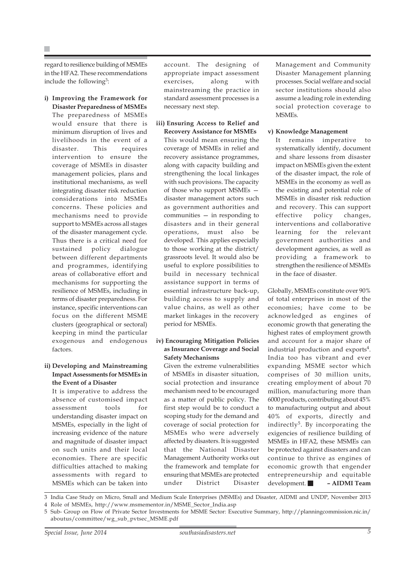regard to resilience building of MSMEs in the HFA2. These recommendations include the following<sup>3</sup>:

**i) Improving the Framework for Disaster Preparedness of MSMEs**

The preparedness of MSMEs would ensure that there is minimum disruption of lives and livelihoods in the event of a disaster. This requires intervention to ensure the coverage of MSMEs in disaster management policies, plans and institutional mechanisms, as well integrating disaster risk reduction considerations into MSMEs concerns. These policies and mechanisms need to provide support to MSMEs across all stages of the disaster management cycle. Thus there is a critical need for sustained policy dialogue between different departments and programmes, identifying areas of collaborative effort and mechanisms for supporting the resilience of MSMEs, including in terms of disaster preparedness. For instance, specific interventions can focus on the different MSME clusters (geographical or sectoral) keeping in mind the particular exogenous and endogenous factors.

#### **ii) Developing and Mainstreaming Impact Assessments for MSMEs in the Event of a Disaster**

It is imperative to address the absence of customised impact assessment tools for understanding disaster impact on MSMEs, especially in the light of increasing evidence of the nature and magnitude of disaster impact on such units and their local economies. There are specific difficulties attached to making assessments with regard to MSMEs which can be taken into account. The designing of appropriate impact assessment exercises, along with mainstreaming the practice in standard assessment processes is a necessary next step.

**iii) Ensuring Access to Relief and**

**Recovery Assistance for MSMEs** This would mean ensuring the coverage of MSMEs in relief and recovery assistance programmes, along with capacity building and strengthening the local linkages with such provisions. The capacity of those who support MSMEs disaster management actors such as government authorities and communities — in responding to disasters and in their general operations, must also be developed. This applies especially to those working at the district/ grassroots level. It would also be useful to explore possibilities to build in necessary technical assistance support in terms of essential infrastructure back-up, building access to supply and value chains, as well as other market linkages in the recovery period for MSMEs.

#### **iv) Encouraging Mitigation Policies as Insurance Coverage and Social Safety Mechanisms**

Given the extreme vulnerabilities of MSMEs in disaster situation, social protection and insurance mechanism need to be encouraged as a matter of public policy. The first step would be to conduct a scoping study for the demand and coverage of social protection for MSMEs who were adversely affected by disasters. It is suggested that the National Disaster Management Authority works out the framework and template for ensuring that MSMEs are protected under District Disaster

Management and Community Disaster Management planning processes. Social welfare and social sector institutions should also assume a leading role in extending social protection coverage to MSMEs.

#### **v) Knowledge Management**

It remains imperative to systematically identify, document and share lessons from disaster impact on MSMEs given the extent of the disaster impact, the role of MSMEs in the economy as well as the existing and potential role of MSMEs in disaster risk reduction and recovery. This can support effective policy changes, interventions and collaborative learning for the relevant government authorities and development agencies, as well as providing a framework to strengthen the resilience of MSMEs in the face of disaster.

Globally, MSMEs constitute over 90% of total enterprises in most of the economies; have come to be acknowledged as engines of economic growth that generating the highest rates of employment growth and account for a major share of industrial production and exports<sup>4</sup>. India too has vibrant and ever expanding MSME sector which comprises of 30 million units, creating employment of about 70 million, manufacturing more than 6000 products, contributing about 45% to manufacturing output and about 40% of exports, directly and indirectly<sup>5</sup>. By incorporating the exigencies of resilience building of MSMEs in HFA2, these MSMEs can be protected against disasters and can continue to thrive as engines of economic growth that engender entrepreneurship and equitable development. **– AIDMI Team**

3 India Case Study on Micro, Small and Medium Scale Enterprises (MSMEs) and Disaster, AIDMI and UNDP, November 2013

- 4 Role of MSMEs, http://www.msmementor.in/MSME\_Sector\_India.asp
- 5 Sub- Group on Flow of Private Sector Investments for MSME Sector: Executive Summary, http://planningcommission.nic.in/ aboutus/committee/wg\_sub\_pvtsec\_MSME.pdf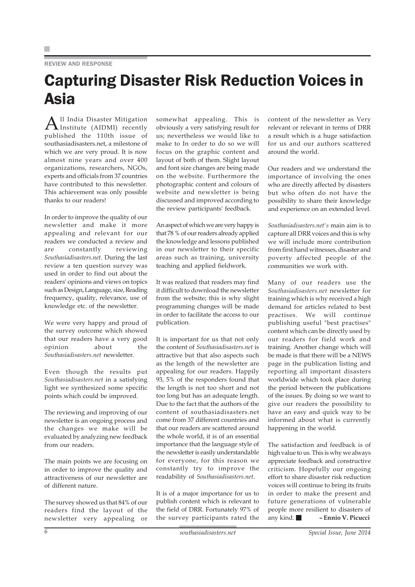#### REVIEW AND RESPONSE

### Capturing Disaster Risk Reduction Voices in Asia

All India Disaster Mitigation Institute (AIDMI) recently published the 110th issue of southasiadisasters.net, a milestone of which we are very proud. It is now almost nine years and over 400 organizations, researchers, NGOs, experts and officials from 37 countries have contributed to this newsletter. This achievement was only possible thanks to our readers!

In order to improve the quality of our newsletter and make it more appealing and relevant for our readers we conducted a review and are constantly reviewing *Southasiadisasters.net*. During the last review a ten question survey was used in order to find out about the readers' opinions and views on topics such as Design, Language, size, Reading frequency, quality, relevance, use of knowledge etc. of the newsletter.

We were very happy and proud of the survey outcome which showed that our readers have a very good opinion about the *Southasiadisasters.net* newsletter.

Even though the results put *Southasiadisasters.net* in a satisfying light we synthesized some specific points which could be improved.

The reviewing and improving of our newsletter is an ongoing process and the changes we make will be evaluated by analyzing new feedback from our readers.

The main points we are focusing on in order to improve the quality and attractiveness of our newsletter are of different nature.

The survey showed us that 84% of our readers find the layout of the newsletter very appealing or

somewhat appealing. This is obviously a very satisfying result for us; nevertheless we would like to make to In order to do so we will focus on the graphic content and layout of both of them. Slight layout and font size changes are being made on the website. Furthermore the photographic content and colours of website and newsletter is being discussed and improved according to the review participants' feedback.

An aspect of which we are very happy is that 78 % of our readers already applied the knowledge and lessons published in our newsletter to their specific areas such as training, university teaching and applied fieldwork.

It was realized that readers may find it difficult to download the newsletter from the website; this is why slight programming changes will be made in order to facilitate the access to our publication.

It is important for us that not only the content of *Southasiadisasters.net* is attractive but that also aspects such as the length of the newsletter are appealing for our readers. Happily 93, 5% of the responders found that the length is not too short and not too long but has an adequate length. Due to the fact that the authors of the content of southasiadisasters net come from 37 different countries and that our readers are scattered around the whole world, it is of an essential importance that the language style of the newsletter is easily understandable for everyone, for this reason we constantly try to improve the readability of *Southasiadisasters.net*.

It is of a major importance for us to publish content which is relevant to the field of DRR. Fortunately 97% of the survey participants rated the

content of the newsletter as Very relevant or relevant in terms of DRR a result which is a huge satisfaction for us and our authors scattered around the world.

Our readers and we understand the importance of involving the ones who are directly affected by disasters but who often do not have the possibility to share their knowledge and experience on an extended level.

*Southasiadisasters.net's* main aim is to capture all DRR voices and this is why we will include more contribution from first hand witnesses, disaster and poverty affected people of the communities we work with.

Many of our readers use the *Southasiadisasters.net* newsletter for training which is why received a high demand for articles related to best practises. We will continue publishing useful "best practises" content which can be directly used by our readers for field work and training. Another change which will be made is that there will be a NEWS page in the publication listing and reporting all important disasters worldwide which took place during the period between the publications of the issues. By doing so we want to give our readers the possibility to have an easy and quick way to be informed about what is currently happening in the world.

The satisfaction and feedback is of high value to us. This is why we always appreciate feedback and constructive criticism. Hopefully our ongoing effort to share disaster risk reduction voices will continue to bring its fruits in order to make the present and future generations of vulnerable people more resilient to disasters of any kind. **– Ennio V. Picucci**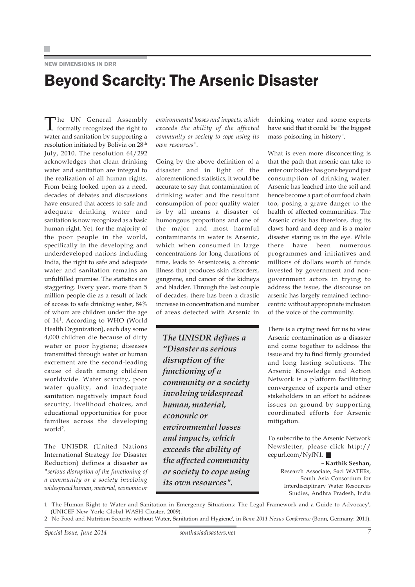NEW DIMENSIONS IN DRR

### Beyond Scarcity: The Arsenic Disaster

The UN General Assembly formally recognized the right to water and sanitation by supporting a resolution initiated by Bolivia on 28th July, 2010. The resolution 64/292 acknowledges that clean drinking water and sanitation are integral to the realization of all human rights. From being looked upon as a need, decades of debates and discussions have ensured that access to safe and adequate drinking water and sanitation is now recognized as a basic human right. Yet, for the majority of the poor people in the world, specifically in the developing and underdeveloped nations including India, the right to safe and adequate water and sanitation remains an unfulfilled promise. The statistics are staggering. Every year, more than 5 million people die as a result of lack of access to safe drinking water, 84% of whom are children under the age of 141. According to WHO (World Health Organization), each day some 4,000 children die because of dirty water or poor hygiene; diseases transmitted through water or human excrement are the second-leading cause of death among children worldwide. Water scarcity, poor water quality, and inadequate sanitation negatively impact food security, livelihood choices, and educational opportunities for poor families across the developing world<sup>2</sup>.

The UNISDR (United Nations International Strategy for Disaster Reduction) defines a disaster as *"serious disruption of the functioning of a community or a society involving widespread human, material, economic or*

*environmental losses and impacts, which exceeds the ability of the affected community or society to cope using its own resources"*.

Going by the above definition of a disaster and in light of the aforementioned statistics, it would be accurate to say that contamination of drinking water and the resultant consumption of poor quality water is by all means a disaster of humongous proportions and one of the major and most harmful contaminants in water is Arsenic, which when consumed in large concentrations for long durations of time, leads to Arsenicosis, a chronic illness that produces skin disorders, gangrene, and cancer of the kidneys and bladder. Through the last couple of decades, there has been a drastic increase in concentration and number of areas detected with Arsenic in

*The UNISDR defines a "Disaster as serious disruption of the functioning of a community or a society involving widespread human, material, economic or environmental losses and impacts, which exceeds the ability of the affected community or society to cope using its own resources".*

drinking water and some experts have said that it could be "the biggest mass poisoning in history".

What is even more disconcerting is that the path that arsenic can take to enter our bodies has gone beyond just consumption of drinking water. Arsenic has leached into the soil and hence become a part of our food chain too, posing a grave danger to the health of affected communities. The Arsenic crisis has therefore, dug its claws hard and deep and is a major disaster staring us in the eye. While there have been numerous programmes and initiatives and millions of dollars worth of funds invested by government and nongovernment actors in trying to address the issue, the discourse on arsenic has largely remained technocentric without appropriate inclusion of the voice of the community.

There is a crying need for us to view Arsenic contamination as a disaster and come together to address the issue and try to find firmly grounded and long lasting solutions. The Arsenic Knowledge and Action Network is a platform facilitating convergence of experts and other stakeholders in an effort to address issues on ground by supporting coordinated efforts for Arsenic mitigation.

To subscribe to the Arsenic Network Newsletter, please click http:// eepurl.com/NyfN1. ■

> **– Karthik Seshan,** Research Associate, Saci WATERs, South Asia Consortium for Interdisciplinary Water Resources Studies, Andhra Pradesh, India

1 'The Human Right to Water and Sanitation in Emergency Situations: The Legal Framework and a Guide to Advocacy', (UNICEF New York: Global WASH Cluster, 2009).

<sup>2 &#</sup>x27;No Food and Nutrition Security without Water, Sanitation and Hygiene', in *Bonn 2011 Nexus Conference* (Bonn, Germany: 2011).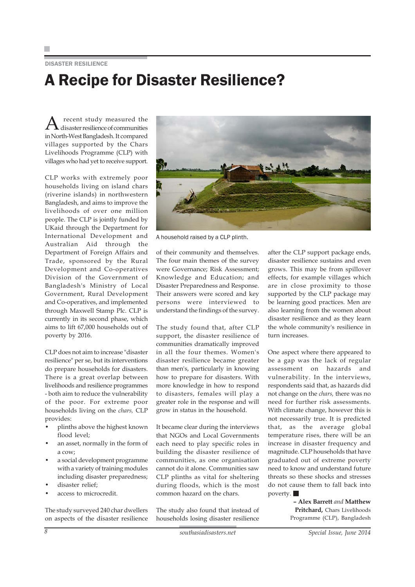#### DISASTER RESILIENCE

### A Recipe for Disaster Resilience?

A recent study measured the disaster resilience of communities in North-West Bangladesh. It compared villages supported by the Chars Livelihoods Programme (CLP) with villages who had yet to receive support.

CLP works with extremely poor households living on island chars (riverine islands) in northwestern Bangladesh, and aims to improve the livelihoods of over one million people. The CLP is jointly funded by UKaid through the Department for International Development and Australian Aid through the Department of Foreign Affairs and Trade, sponsored by the Rural Development and Co-operatives Division of the Government of Bangladesh's Ministry of Local Government, Rural Development and Co-operatives, and implemented through Maxwell Stamp Plc. CLP is currently in its second phase, which aims to lift 67,000 households out of poverty by 2016.

CLP does not aim to increase "disaster resilience" per se, but its interventions do prepare households for disasters. There is a great overlap between livelihoods and resilience programmes - both aim to reduce the vulnerability of the poor. For extreme poor households living on the *chars,* CLP provides:

- plinths above the highest known flood level;
- an asset, normally in the form of a cow;
- a social development programme with a variety of training modules including disaster preparedness;
- disaster relief;
- access to microcredit.

The study surveyed 240 char dwellers on aspects of the disaster resilience



A household raised by a CLP plinth.

of their community and themselves. The four main themes of the survey were Governance; Risk Assessment; Knowledge and Education; and Disaster Preparedness and Response. Their answers were scored and key persons were interviewed to understand the findings of the survey.

The study found that, after CLP support, the disaster resilience of communities dramatically improved in all the four themes. Women's disaster resilience became greater than men's, particularly in knowing how to prepare for disasters. With more knowledge in how to respond to disasters, females will play a greater role in the response and will grow in status in the household.

It became clear during the interviews that NGOs and Local Governments each need to play specific roles in building the disaster resilience of communities, as one organisation cannot do it alone. Communities saw CLP plinths as vital for sheltering during floods, which is the most common hazard on the chars.

The study also found that instead of households losing disaster resilience

after the CLP support package ends, disaster resilience sustains and even grows. This may be from spillover effects, for example villages which are in close proximity to those supported by the CLP package may be learning good practices. Men are also learning from the women about disaster resilience and as they learn the whole community's resilience in turn increases.

One aspect where there appeared to be a gap was the lack of regular assessment on hazards and vulnerability. In the interviews, respondents said that, as hazards did not change on the *chars,* there was no need for further risk assessments. With climate change, however this is not necessarily true. It is predicted that, as the average global temperature rises, there will be an increase in disaster frequency and magnitude. CLP households that have graduated out of extreme poverty need to know and understand future threats so these shocks and stresses do not cause them to fall back into poverty.

> **– Alex Barrett** *and* **Matthew Pritchard,** Chars Livelihoods Programme (CLP), Bangladesh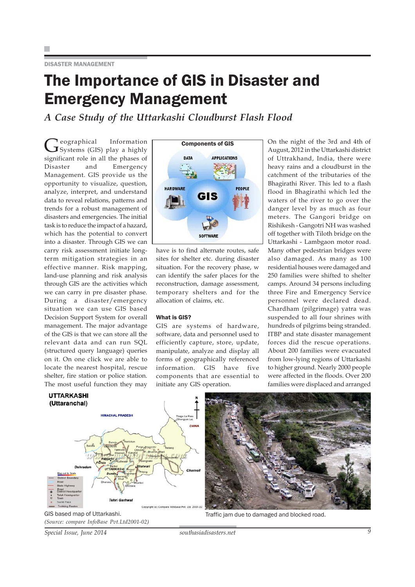DISASTER MANAGEMENT

### The Importance of GIS in Disaster and Emergency Management

*A Case Study of the Uttarkashi Cloudburst Flash Flood*

Geographical Information<br>
Systems (GIS) play a highly significant role in all the phases of Disaster and Emergency Management. GIS provide us the opportunity to visualize, question, analyze, interpret, and understand data to reveal relations, patterns and trends for a robust management of disasters and emergencies. The initial task is to reduce the impact of a hazard, which has the potential to convert into a disaster. Through GIS we can carry risk assessment initiate longterm mitigation strategies in an effective manner. Risk mapping, land-use planning and risk analysis through GIS are the activities which we can carry in pre disaster phase. During a disaster/emergency situation we can use GIS based Decision Support System for overall management. The major advantage of the GIS is that we can store all the relevant data and can run SQL (structured query language) queries on it. On one click we are able to locate the nearest hospital, rescue shelter, fire station or police station. The most useful function they may



have is to find alternate routes, safe sites for shelter etc. during disaster situation. For the recovery phase, w can identify the safer places for the reconstruction, damage assessment, temporary shelters and for the allocation of claims, etc.

#### What is GIS?

GIS are systems of hardware, software, data and personnel used to efficiently capture, store, update, manipulate, analyze and display all forms of geographically referenced information. GIS have five components that are essential to initiate any GIS operation.

On the night of the 3rd and 4th of August, 2012 in the Uttarkashi district of Uttrakhand, India, there were heavy rains and a cloudburst in the catchment of the tributaries of the Bhagirathi River. This led to a flash flood in Bhagirathi which led the waters of the river to go over the danger level by as much as four meters. The Gangori bridge on Rishikesh - Gangotri NH was washed off together with Tiloth bridge on the Uttarkashi - Lambgaon motor road. Many other pedestrian bridges were also damaged. As many as 100 residential houses were damaged and 250 families were shifted to shelter camps. Around 34 persons including three Fire and Emergency Service personnel were declared dead. Chardham (pilgrimage) yatra was suspended to all four shrines with hundreds of pilgrims being stranded. ITBP and state disaster management forces did the rescue operations. About 200 families were evacuated from low-lying regions of Uttarkashi to higher ground. Nearly 2000 people were affected in the floods. Over 200 families were displaced and arranged







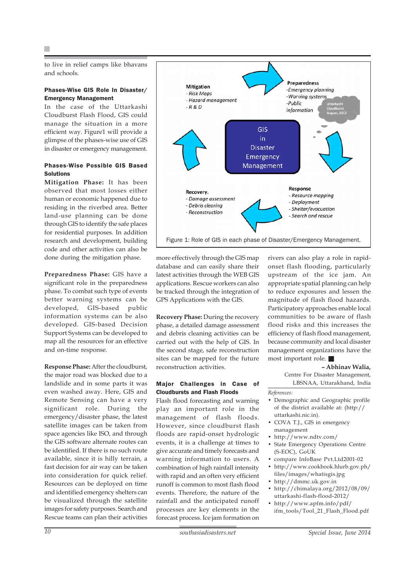to live in relief camps like bhavans and schools.

#### Phases-Wise GIS Role In Disaster/ Emergency Management

In the case of the Uttarkashi Cloudburst Flash Flood, GIS could manage the situation in a more efficient way. Figure1 will provide a glimpse of the phases-wise use of GIS in disaster or emergency management.

#### Phases-Wise Possible GIS Based **Solutions**

**Mitigation Phase:** It has been observed that most losses either human or economic happened due to residing in the riverbed area. Better land-use planning can be done through GIS to identify the safe places for residential purposes. In addition research and development, building code and other activities can also be done during the mitigation phase.

**Preparedness Phase:** GIS have a significant role in the preparedness phase. To combat such type of events better warning systems can be developed, GIS-based public information systems can be also developed. GIS-based Decision Support Systems can be developed to map all the resources for an effective and on-time response.

**Response Phase:** After the cloudburst, the major road was blocked due to a landslide and in some parts it was even washed away. Here, GIS and Remote Sensing can have a very significant role. During the emergency/disaster phase, the latest satellite images can be taken from space agencies like ISO, and through the GIS software alternate routes can be identified. If there is no such route available, since it is hilly terrain, a fast decision for air way can be taken into consideration for quick relief. Resources can be deployed on time and identified emergency shelters can be visualized through the satellite images for safety purposes. Search and Rescue teams can plan their activities



more effectively through the GIS map database and can easily share their latest activities through the WEB GIS applications. Rescue workers can also be tracked through the integration of GPS Applications with the GIS.

**Recovery Phase:** During the recovery phase, a detailed damage assessment and debris cleaning activities can be carried out with the help of GIS. In the second stage, safe reconstruction sites can be mapped for the future reconstruction activities.

#### Major Challenges in Case of Cloudbursts and Flash Floods

Flash flood forecasting and warning play an important role in the management of flash floods. However, since cloudburst flash floods are rapid-onset hydrologic events, it is a challenge at times to give accurate and timely forecasts and warning information to users. A combination of high rainfall intensity with rapid and an often very efficient runoff is common to most flash flood events. Therefore, the nature of the rainfall and the anticipated runoff processes are key elements in the forecast process. Ice jam formation on

rivers can also play a role in rapidonset flash flooding, particularly upstream of the ice jam. An appropriate spatial planning can help to reduce exposures and lessen the magnitude of flash flood hazards. Participatory approaches enable local communities to be aware of flash flood risks and this increases the efficiency of flash flood management, because community and local disaster management organizations have the most important role.

#### **– Abhinav Walia,**

Centre For Disaster Management, LBSNAA, Uttarakhand, India

*References:*

- Demographic and Geographic profile of the district available at: (http:// uttarkashi.nic.in).
- COVA T.J., GIS in emergency management
- http://www.ndtv.com/
- State Emergency Operations Centre (S-EOC), GoUK
- compare InfoBase Pvt.Ltd2001-02
- http://www.cookbook.hlurb.gov.ph/ files/images/whatisgis.jpg
- http://dmmc.uk.gov.in
- http://chimalaya.org/2012/08/09/ uttarkashi-flash-flood-2012/
- http://www.apfm.info/pdf/ ifm\_tools/Tool\_21\_Flash\_Flood.pdf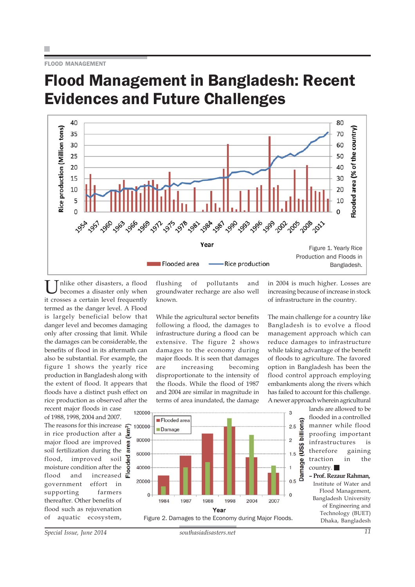### Flood Management in Bangladesh: Recent Evidences and Future Challenges



nlike other disasters, a flood becomes a disaster only when it crosses a certain level frequently termed as the danger level. A Flood is largely beneficial below that danger level and becomes damaging only after crossing that limit. While the damages can be considerable, the benefits of flood in its aftermath can also be substantial. For example, the figure 1 shows the yearly rice production in Bangladesh along with the extent of flood. It appears that floods have a distinct push effect on rice production as observed after the

recent major floods in case of 1988, 1998, 2004 and 2007. The reasons for this increase in rice production after a major flood are improved soil fertilization during the flood, improved soil moisture condition after the flood and increased government effort in supporting farmers thereafter. Other benefits of flood such as rejuvenation of aquatic ecosystem,

flushing of pollutants and groundwater recharge are also well known.

While the agricultural sector benefits following a flood, the damages to infrastructure during a flood can be extensive. The figure 2 shows damages to the economy during major floods. It is seen that damages are increasing becoming disproportionate to the intensity of the floods. While the flood of 1987 and 2004 are similar in magnitude in terms of area inundated, the damage in 2004 is much higher. Losses are increasing because of increase in stock of infrastructure in the country.

The main challenge for a country like Bangladesh is to evolve a flood management approach which can reduce damages to infrastructure while taking advantage of the benefit of floods to agriculture. The favored option in Bangladesh has been the flood control approach employing embankments along the rivers which has failed to account for this challenge. A newer approach wherein agricultural



lands are allowed to be flooded in a controlled manner while flood proofing important infrastructures is therefore gaining traction in the country.

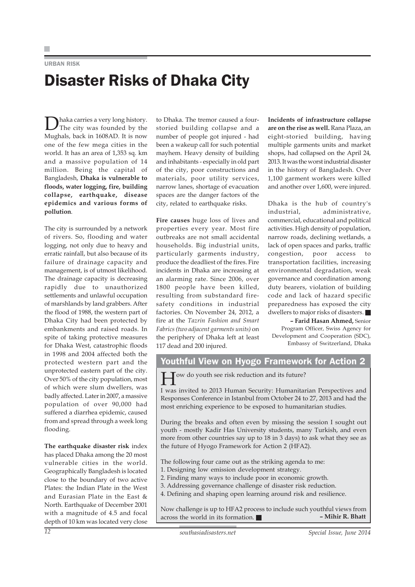#### URBAN RISK

### Disaster Risks of Dhaka City

Dhaka carries a very long history. The city was founded by the Mughals, back in 1608AD. It is now one of the few mega cities in the world. It has an area of 1,353 sq. km and a massive population of 14 million. Being the capital of Bangladesh, **Dhaka is vulnerable to floods, water logging, fire, building collapse, earthquake, disease epidemics and various forms of pollution**.

The city is surrounded by a network of rivers. So, flooding and water logging, not only due to heavy and erratic rainfall, but also because of its failure of drainage capacity and management, is of utmost likelihood. The drainage capacity is decreasing rapidly due to unauthorized settlements and unlawful occupation of marshlands by land grabbers. After the flood of 1988, the western part of Dhaka City had been protected by embankments and raised roads. In spite of taking protective measures for Dhaka West, catastrophic floods in 1998 and 2004 affected both the protected western part and the unprotected eastern part of the city. Over 50% of the city population, most of which were slum dwellers, was badly affected. Later in 2007, a massive population of over 90,000 had suffered a diarrhea epidemic, caused from and spread through a week long flooding.

**The earthquake disaster risk** index has placed Dhaka among the 20 most vulnerable cities in the world. Geographically Bangladesh is located close to the boundary of two active Plates: the Indian Plate in the West and Eurasian Plate in the East & North. Earthquake of December 2001 with a magnitude of 4.5 and focal depth of 10 km was located very close

to Dhaka. The tremor caused a fourstoried building collapse and a number of people got injured - had been a wakeup call for such potential mayhem. Heavy density of building and inhabitants - especially in old part of the city, poor constructions and materials, poor utility services, narrow lanes, shortage of evacuation spaces are the danger factors of the city, related to earthquake risks.

**Fire causes** huge loss of lives and properties every year. Most fire outbreaks are not small accidental households. Big industrial units, particularly garments industry, produce the deadliest of the fires. Fire incidents in Dhaka are increasing at an alarming rate. Since 2006, over 1800 people have been killed, resulting from substandard firesafety conditions in industrial factories. On November 24, 2012, a fire at the *Tazrin Fashion and Smart Fabrics (two adjacent garments units)* on the periphery of Dhaka left at least 117 dead and 200 injured.

**Incidents of infrastructure collapse are on the rise as well.** Rana Plaza, an eight-storied building, having multiple garments units and market shops, had collapsed on the April 24, 2013. It was the worst industrial disaster in the history of Bangladesh. Over 1,100 garment workers were killed and another over 1,600, were injured.

Dhaka is the hub of country's industrial, administrative, commercial, educational and political activities. High density of population, narrow roads, declining wetlands, a lack of open spaces and parks, traffic congestion, poor access to transportation facilities, increasing environmental degradation, weak governance and coordination among duty bearers, violation of building code and lack of hazard specific preparedness has exposed the city dwellers to major risks of disasters.

**– Farid Hasan Ahmed,** Senior Program Officer, Swiss Agency for Development and Cooperation (SDC), Embassy of Switzerland, Dhaka

#### Youthful View on Hyogo Framework for Action 2

ow do youth see risk reduction and its future?

I was invited to 2013 Human Security: Humanitarian Perspectives and Responses Conference in Istanbul from October 24 to 27, 2013 and had the most enriching experience to be exposed to humanitarian studies.

During the breaks and often even by missing the session I sought out youth - mostly Kadir Has University students, many Turkish, and even more from other countries say up to 18 in 3 days) to ask what they see as the future of Hyogo Framework for Action 2 (HFA2).

The following four came out as the striking agenda to me:

- 1. Designing low emission development strategy.
- 2. Finding many ways to include poor in economic growth.
- 3. Addressing governance challenge of disaster risk reduction.
- 4. Defining and shaping open learning around risk and resilience.

Now challenge is up to HFA2 process to include such youthful views from across the world in its formation  $\blacksquare$  - Mihir R. Bhatt across the world in its formation.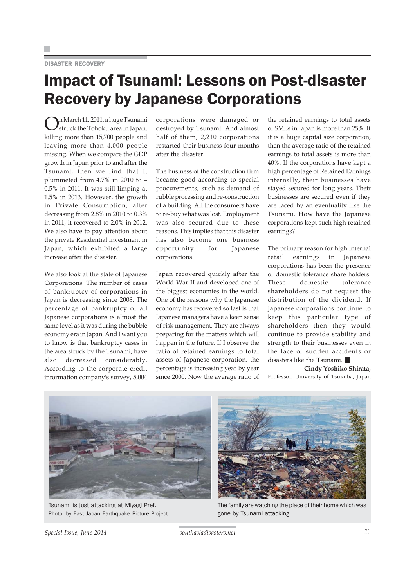#### DISASTER RECOVERY

### Impact of Tsunami: Lessons on Post-disaster Recovery by Japanese Corporations

On March 11, 2011, a huge Tsunami struck the Tohoku area in Japan, killing more than 15,700 people and leaving more than 4,000 people missing. When we compare the GDP growth in Japan prior to and after the Tsunami, then we find that it plummeted from 4.7% in 2010 to – 0.5% in 2011. It was still limping at 1.5% in 2013. However, the growth in Private Consumption, after decreasing from 2.8% in 2010 to 0.3% in 2011, it recovered to 2.0% in 2012. We also have to pay attention about the private Residential investment in Japan, which exhibited a large increase after the disaster.

We also look at the state of Japanese Corporations. The number of cases of bankruptcy of corporations in Japan is decreasing since 2008. The percentage of bankruptcy of all Japanese corporations is almost the same level as it was during the bubble economy era in Japan. And I want you to know is that bankruptcy cases in the area struck by the Tsunami, have also decreased considerably. According to the corporate credit information company's survey, 5,004 corporations were damaged or destroyed by Tsunami. And almost half of them, 2,210 corporations restarted their business four months after the disaster.

The business of the construction firm became good according to special procurements, such as demand of rubble processing and re-construction of a building. All the consumers have to re-buy what was lost. Employment was also secured due to these reasons. This implies that this disaster has also become one business opportunity for Japanese corporations.

Japan recovered quickly after the World War II and developed one of the biggest economies in the world. One of the reasons why the Japanese economy has recovered so fast is that Japanese managers have a keen sense of risk management. They are always preparing for the matters which will happen in the future. If I observe the ratio of retained earnings to total assets of Japanese corporation, the percentage is increasing year by year since 2000. Now the average ratio of

the retained earnings to total assets of SMEs in Japan is more than 25%. If it is a huge capital size corporation, then the average ratio of the retained earnings to total assets is more than 40%. If the corporations have kept a high percentage of Retained Earnings internally, their businesses have stayed secured for long years. Their businesses are secured even if they are faced by an eventuality like the Tsunami. How have the Japanese corporations kept such high retained earnings?

The primary reason for high internal retail earnings in Japanese corporations has been the presence of domestic tolerance share holders. These domestic tolerance shareholders do not request the distribution of the dividend. If Japanese corporations continue to keep this particular type of shareholders then they would continue to provide stability and strength to their businesses even in the face of sudden accidents or disasters like the Tsunami.

**– Cindy Yoshiko Shirata,** Professor, University of Tsukuba, Japan



Tsunami is just attacking at Miyagi Pref. Photo: by East Japan Earthquake Picture Project



The family are watching the place of their home which was gone by Tsunami attacking.

*Special Issue, June 2014 southasiadisasters.net 13*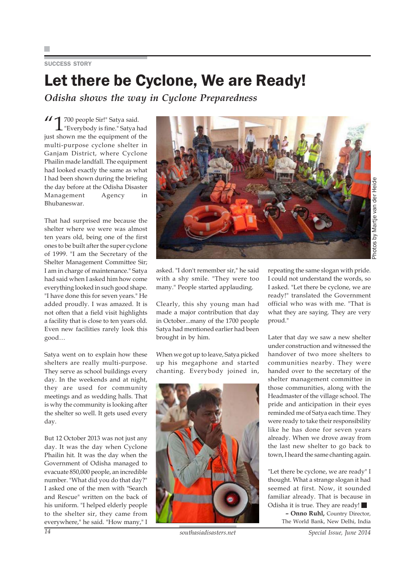#### SUCCESS STORY

### Let there be Cyclone, We are Ready!

*Odisha shows the way in Cyclone Preparedness*

 $\overline{11}$  700 people Sir!" Satya said.  $\perp$  "Everybody is fine." Satya had just shown me the equipment of the multi-purpose cyclone shelter in Ganjam District, where Cyclone Phailin made landfall. The equipment had looked exactly the same as what I had been shown during the briefing the day before at the Odisha Disaster Management Agency in Bhubaneswar.

That had surprised me because the shelter where we were was almost ten years old, being one of the first ones to be built after the super cyclone of 1999. "I am the Secretary of the Shelter Management Committee Sir; I am in charge of maintenance." Satya had said when I asked him how come everything looked in such good shape. "I have done this for seven years." He added proudly. I was amazed. It is not often that a field visit highlights a facility that is close to ten years old. Even new facilities rarely look this good…

Satya went on to explain how these shelters are really multi-purpose. They serve as school buildings every day. In the weekends and at night, they are used for community meetings and as wedding halls. That is why the community is looking after the shelter so well. It gets used every day.

But 12 October 2013 was not just any day. It was the day when Cyclone Phailin hit. It was the day when the Government of Odisha managed to evacuate 850,000 people, an incredible number. "What did you do that day?" I asked one of the men with "Search and Rescue" written on the back of his uniform. "I helped elderly people to the shelter sir, they came from everywhere," he said. "How many," I



asked. "I don't remember sir," he said with a shy smile. "They were too many." People started applauding.

Clearly, this shy young man had made a major contribution that day in October...many of the 1700 people Satya had mentioned earlier had been brought in by him.

When we got up to leave, Satya picked up his megaphone and started chanting. Everybody joined in,



repeating the same slogan with pride. I could not understand the words, so I asked. "Let there be cyclone, we are ready!" translated the Government official who was with me. "That is what they are saying. They are very proud."

Later that day we saw a new shelter under construction and witnessed the handover of two more shelters to communities nearby. They were handed over to the secretary of the shelter management committee in those communities, along with the Headmaster of the village school. The pride and anticipation in their eyes reminded me of Satya each time. They were ready to take their responsibility like he has done for seven years already. When we drove away from the last new shelter to go back to town, I heard the same chanting again.

"Let there be cyclone, we are ready" I thought. What a strange slogan it had seemed at first. Now, it sounded familiar already. That is because in Odisha it is true. They are ready! **– Onno Ruhl,** Country Director, The World Bank, New Delhi, India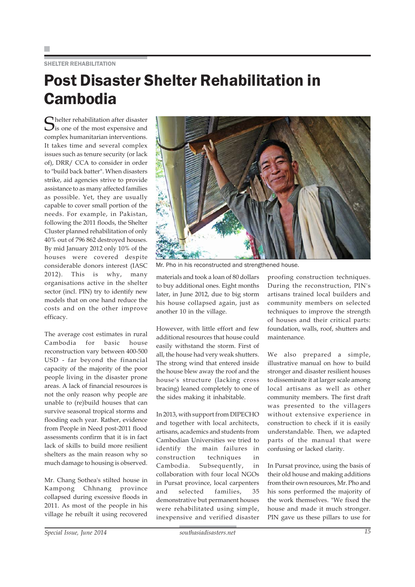#### SHELTER REHABILITATION

## Post Disaster Shelter Rehabilitation in Cambodia

Shelter rehabilitation after disaster<br>Sis one of the most expensive and complex humanitarian interventions. It takes time and several complex issues such as tenure security (or lack of), DRR/ CCA to consider in order to "build back batter". When disasters strike, aid agencies strive to provide assistance to as many affected families as possible. Yet, they are usually capable to cover small portion of the needs. For example, in Pakistan, following the 2011 floods, the Shelter Cluster planned rehabilitation of only 40% out of 796 862 destroyed houses. By mid January 2012 only 10% of the houses were covered despite considerable donors interest (IASC 2012). This is why, many organisations active in the shelter sector (incl. PIN) try to identify new models that on one hand reduce the costs and on the other improve efficacy.

The average cost estimates in rural Cambodia for basic house reconstruction vary between 400-500 USD - far beyond the financial capacity of the majority of the poor people living in the disaster prone areas. A lack of financial resources is not the only reason why people are unable to (re)build houses that can survive seasonal tropical storms and flooding each year. Rather, evidence from People in Need post-2011 flood assessments confirm that it is in fact lack of skills to build more resilient shelters as the main reason why so much damage to housing is observed.

Mr. Chang Sothea's stilted house in Kampong Chhnang province collapsed during excessive floods in 2011. As most of the people in his village he rebuilt it using recovered



Mr. Pho in his reconstructed and strengthened house.

materials and took a loan of 80 dollars to buy additional ones. Eight months later, in June 2012, due to big storm his house collapsed again, just as another 10 in the village.

However, with little effort and few additional resources that house could easily withstand the storm. First of all, the house had very weak shutters. The strong wind that entered inside the house blew away the roof and the house's structure (lacking cross bracing) leaned completely to one of the sides making it inhabitable.

In 2013, with support from DIPECHO and together with local architects, artisans, academics and students from Cambodian Universities we tried to identify the main failures in construction techniques in Cambodia. Subsequently, in collaboration with four local NGOs in Pursat province, local carpenters and selected families, 35 demonstrative but permanent houses were rehabilitated using simple, inexpensive and verified disaster

proofing construction techniques. During the reconstruction, PIN's artisans trained local builders and community members on selected techniques to improve the strength of houses and their critical parts: foundation, walls, roof, shutters and maintenance.

We also prepared a simple, illustrative manual on how to build stronger and disaster resilient houses to disseminate it at larger scale among local artisans as well as other community members. The first draft was presented to the villagers without extensive experience in construction to check if it is easily understandable. Then, we adapted parts of the manual that were confusing or lacked clarity.

In Pursat province, using the basis of their old house and making additions from their own resources, Mr. Pho and his sons performed the majority of the work themselves. "We fixed the house and made it much stronger. PIN gave us these pillars to use for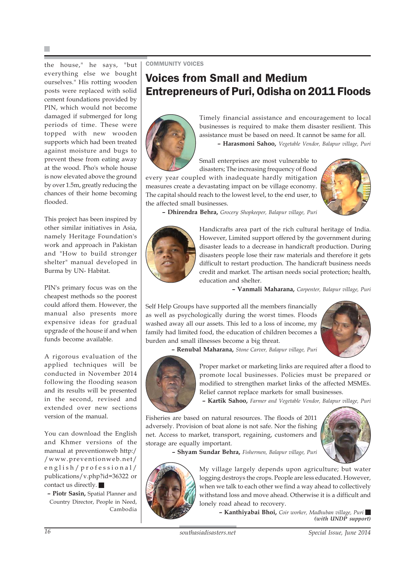the house," he says, "but everything else we bought ourselves." His rotting wooden posts were replaced with solid cement foundations provided by PIN, which would not become damaged if submerged for long periods of time. These were topped with new wooden supports which had been treated against moisture and bugs to prevent these from eating away at the wood. Pho's whole house is now elevated above the ground by over 1.5m, greatly reducing the chances of their home becoming flooded.

This project has been inspired by other similar initiatives in Asia, namely Heritage Foundation's work and approach in Pakistan and "How to build stronger shelter" manual developed in Burma by UN- Habitat.

PIN's primary focus was on the cheapest methods so the poorest could afford them. However, the manual also presents more expensive ideas for gradual upgrade of the house if and when funds become available.

A rigorous evaluation of the applied techniques will be conducted in November 2014 following the flooding season and its results will be presented in the second, revised and extended over new sections version of the manual.

You can download the English and Khmer versions of the manual at preventionweb http:/ /www.preventionweb.net/ english/professional/ publications/v.php?id=36322 or contact us directly.

**– Piotr Sasin,** Spatial Planner and Country Director, People in Need, Cambodia

COMMUNITY VOICES

### Voices from Small and Medium Entrepreneurs of Puri, Odisha on 2011 Floods



Timely financial assistance and encouragement to local businesses is required to make them disaster resilient. This assistance must be based on need. It cannot be same for all.

**– Harasmoni Sahoo,** *Vegetable Vendor, Balapur village, Puri*

Small enterprises are most vulnerable to disasters; The increasing frequency of flood every year coupled with inadequate hardly mitigation measures create a devastating impact on be village economy. The capital should reach to the lowest level, to the end user, to



**– Dhirendra Behra,** *Grocery Shopkeeper, Balapur village, Puri*



the affected small businesses.

Handicrafts area part of the rich cultural heritage of India. However, Limited support offered by the government during disaster leads to a decrease in handicraft production. During disasters people lose their raw materials and therefore it gets difficult to restart production. The handicraft business needs credit and market. The artisan needs social protection; health, education and shelter.

**– Vanmali Maharana,** *Carpenter, Balapur village, Puri*

Self Help Groups have supported all the members financially as well as psychologically during the worst times. Floods washed away all our assets. This led to a loss of income, my family had limited food, the education of children becomes a burden and small illnesses become a big threat.



**– Renubal Maharana,** *Stone Carver, Balapur village, Puri*



Proper market or marketing links are required after a flood to promote local businesses. Policies must be prepared or modified to strengthen market links of the affected MSMEs. Relief cannot replace markets for small businesses.

**– Kartik Sahoo,** *Farmer and Vegetable Vendor, Balapur village, Puri*

Fisheries are based on natural resources. The floods of 2011 adversely. Provision of boat alone is not safe. Nor the fishing net. Access to market, transport, regaining, customers and storage are equally important.



**– Shyam Sundar Behra,** *Fishermen, Balapur village, Puri*



My village largely depends upon agriculture; but water logging destroys the crops. People are less educated. However, when we talk to each other we find a way ahead to collectively withstand loss and move ahead. Otherwise it is a difficult and lonely road ahead to recovery.

**– Kanthiyabai Bhoi,** *Coir worker, Madhuban village, Puri (with UNDP support)*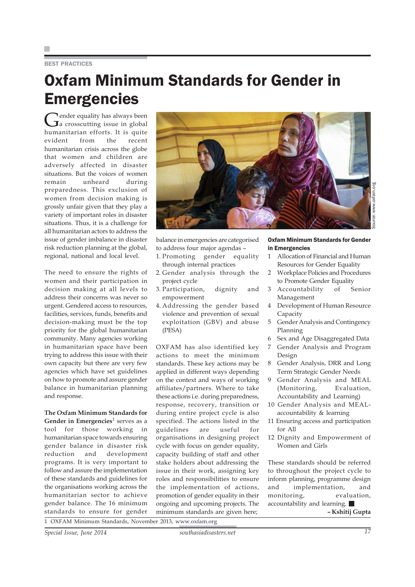#### BEST PRACTICES

### Oxfam Minimum Standards for Gender in **Emergencies**

Gender equality has always been<br>a crosscutting issue in global humanitarian efforts. It is quite evident from the recent humanitarian crisis across the globe that women and children are adversely affected in disaster situations. But the voices of women remain unheard during preparedness. This exclusion of women from decision making is grossly unfair given that they play a variety of important roles in disaster situations. Thus, it is a challenge for all humanitarian actors to address the issue of gender imbalance in disaster risk reduction planning at the global, regional, national and local level.

The need to ensure the rights of women and their participation in decision making at all levels to address their concerns was never so urgent. Gendered access to resources, facilities, services, funds, benefits and decision-making must be the top priority for the global humanitarian community. Many agencies working in humanitarian space have been trying to address this issue with their own capacity but there are very few agencies which have set guidelines on how to promote and assure gender balance in humanitarian planning and response.

**The Oxfam Minimum Standards for Gender in Emergencies<sup>1</sup> serves as a** tool for those working in humanitarian space towards ensuring gender balance in disaster risk reduction and development programs. It is very important to follow and assure the implementation of these standards and guidelines for the organisations working across the humanitarian sector to achieve gender balance. The 16 minimum standards to ensure for gender



balance in emergencies are categorised to address four major agendas –

- 1. Promoting gender equality through internal practices
- 2. Gender analysis through the project cycle
- 3. Participation, dignity and empowerment
- 4. Addressing the gender based violence and prevention of sexual exploitation (GBV) and abuse (PESA)

OXFAM has also identified key actions to meet the minimum standards. These key actions may be applied in different ways depending on the context and ways of working affiliates/partners. Where to take these actions i.e. during preparedness, response, recovery, transition or during entire project cycle is also specified. The actions listed in the guidelines are useful for organisations in designing project cycle with focus on gender equality, capacity building of staff and other stake holders about addressing the issue in their work, assigning key roles and responsibilities to ensure the implementation of actions, promotion of gender equality in their ongoing and upcoming projects. The minimum standards are given here;

#### Oxfam Minimum Standards for Gender in Emergencies

- 1 Allocation of Financial and Human Resources for Gender Equality
- 2 Workplace Policies and Procedures to Promote Gender Equality
- 3 Accountability of Senior Management
- 4 Development of Human Resource Capacity
- 5 Gender Analysis and Contingency Planning
- 6 Sex and Age Disaggregated Data
- 7 Gender Analysis and Program Design
- 8 Gender Analysis, DRR and Long Term Strategic Gender Needs
- 9 Gender Analysis and MEAL (Monitoring, Evaluation, Accountability and Learning)
- 10 Gender Analysis and MEALaccountability & learning
- 11 Ensuring access and participation for All
- 12 Dignity and Empowerment of Women and Girls

These standards should be referred to throughout the project cycle to inform planning, programme design and implementation, and monitoring, evaluation, accountability and learning. **– Kshitij Gupta**

1 OXFAM Minimum Standards, November 2013, www.oxfam.org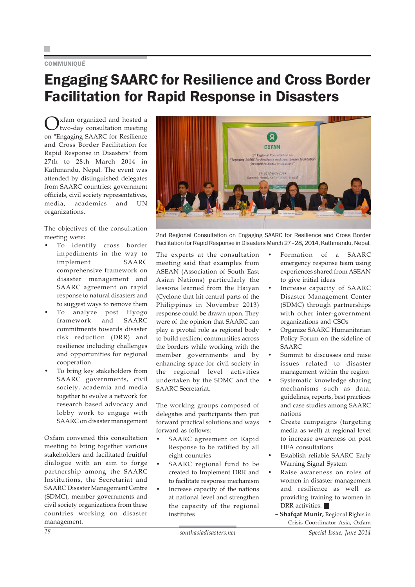#### **COMMUNIQUÉ**

### Engaging SAARC for Resilience and Cross Border Facilitation for Rapid Response in Disasters

Oxfam organized and hosted a<br>two-day consultation meeting on "Engaging SAARC for Resilience and Cross Border Facilitation for Rapid Response in Disasters" from 27th to 28th March 2014 in Kathmandu, Nepal. The event was attended by distinguished delegates from SAARC countries; government officials, civil society representatives, media, academics and UN organizations.

The objectives of the consultation meeting were:

- To identify cross border impediments in the way to implement SAARC comprehensive framework on disaster management and SAARC agreement on rapid response to natural disasters and to suggest ways to remove them
- To analyze post Hyogo framework and SAARC commitments towards disaster risk reduction (DRR) and resilience including challenges and opportunities for regional cooperation
- To bring key stakeholders from SAARC governments, civil society, academia and media together to evolve a network for research based advocacy and lobby work to engage with SAARC on disaster management

Oxfam convened this consultation meeting to bring together various stakeholders and facilitated fruitful dialogue with an aim to forge partnership among the SAARC Institutions, the Secretariat and SAARC Disaster Management Centre (SDMC), member governments and civil society organizations from these countries working on disaster management.



2nd Regional Consultation on Engaging SAARC for Resilience and Cross Border Facilitation for Rapid Response in Disasters March 27–28, 2014, Kathmandu, Nepal.

The experts at the consultation meeting said that examples from ASEAN (Association of South East Asian Nations) particularly the lessons learned from the Haiyan (Cyclone that hit central parts of the Philippines in November 2013) response could be drawn upon. They were of the opinion that SAARC can play a pivotal role as regional body to build resilient communities across the borders while working with the member governments and by enhancing space for civil society in the regional level activities undertaken by the SDMC and the SAARC Secretariat.

The working groups composed of delegates and participants then put forward practical solutions and ways forward as follows:

- SAARC agreement on Rapid Response to be ratified by all eight countries
- SAARC regional fund to be created to Implement DRR and to facilitate response mechanism
- Increase capacity of the nations at national level and strengthen the capacity of the regional institutes
- Formation of a SAARC emergency response team using experiences shared from ASEAN to give initial ideas
- Increase capacity of SAARC Disaster Management Center (SDMC) through partnerships with other inter-government organizations and CSOs
- Organize SAARC Humanitarian Policy Forum on the sideline of SAARC
- Summit to discusses and raise issues related to disaster management within the region
- Systematic knowledge sharing mechanisms such as data, guidelines, reports, best practices and case studies among SAARC nations
- Create campaigns (targeting media as well) at regional level to increase awareness on post HFA consultations
- Establish reliable SAARC Early Warning Signal System
- Raise awareness on roles of women in disaster management and resilience as well as providing training to women in DRR activities.
- **Shafqat Munir,** Regional Rights in Crisis Coordinator Asia, Oxfam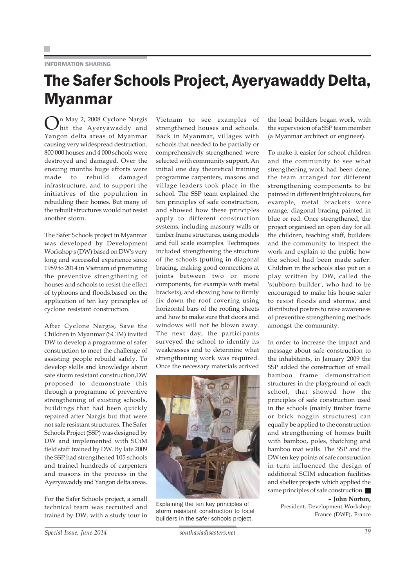#### INFORMATION SHARING

### The Safer Schools Project, Ayeryawaddy Delta, Myanmar

On May 2, 2008 Cyclone Nargis hit the Ayeryawaddy and Yangon delta areas of Myanmar causing very widespread destruction. 800 000 houses and 4 000 schools were destroyed and damaged. Over the ensuing months huge efforts were made to rebuild damaged infrastructure, and to support the initiatives of the population in rebuilding their homes. But many of the rebuilt structures would not resist another storm.

The Safer Schools project in Myanmar was developed by Development Workshop's (DW) based on DW's very long and successful experience since 1989 to 2014 in Vietnam of promoting the preventive strengthening of houses and schools to resist the effect of typhoons and floods,based on the application of ten key principles of cyclone resistant construction.

After Cyclone Nargis, Save the Children in Myanmar (SCIM) invited DW to develop a programme of safer construction to meet the challenge of assisting people rebuild safely. To develop skills and knowledge about safe storm resistant construction,DW proposed to demonstrate this through a programme of preventive strengthening of existing schools, buildings that had been quickly repaired after Nargis but that were not safe resistant structures. The Safer Schools Project (SSP) was designed by DW and implemented with SCiM field staff trained by DW. By late 2009 the SSP had strengthened 105 schools and trained hundreds of carpenters and masons in the process in the Ayeryawaddy and Yangon delta areas.

For the Safer Schools project, a small technical team was recruited and trained by DW, with a study tour in

Vietnam to see examples of strengthened houses and schools. Back in Myanmar, villages with schools that needed to be partially or comprehensively strengthened were selected with community support. An initial one day theoretical training programme carpenters, masons and village leaders took place in the school. The SSP team explained the ten principles of safe construction, and showed how these principles apply to different construction systems, including masonry walls or timber frame structures, using models and full scale examples. Techniques included strengthening the structure of the schools (putting in diagonal bracing, making good connections at joints between two or more components, for example with metal brackets), and showing how to firmly fix down the roof covering using horizontal bars of the roofing sheets and how to make sure that doors and windows will not be blown away. The next day, the participants surveyed the school to identify its weaknesses and to determine what strengthening work was required. Once the necessary materials arrived



Explaining the ten key principles of storm resistant construction to local builders in the safer schools project.

the local builders began work, with the supervision of a SSP team member (a Myanmar architect or engineer).

To make it easier for school children and the community to see what strengthening work had been done, the team arranged for different strengthening components to be painted in different bright colours, for example, metal brackets were orange, diagonal bracing painted in blue or red. Once strengthened, the project organised an open day for all the children, teaching staff, builders and the community to inspect the work and explain to the public how the school had been made safer. Children in the schools also put on a play written by DW, called the 'stubborn builder', who had to be encouraged to make his house safer to resist floods and storms, and distributed posters to raise awareness of preventive strengthening methods amongst the community.

In order to increase the impact and message about safe construction to the inhabitants, in January 2009 the SSP added the construction of small bamboo frame demonstration structures in the playground of each school, that showed how the principles of safe construction used in the schools (mainly timber frame or brick noggin structures) can equally be applied to the construction and strengthening of homes built with bamboo, poles, thatching and bamboo mat walls. The SSP and the DW ten key points of safe construction in turn influenced the design of additional SCIM education facilities and shelter projects which applied the same principles of safe construction. **– John Norton,**

President, Development Workshop France (DWF), France